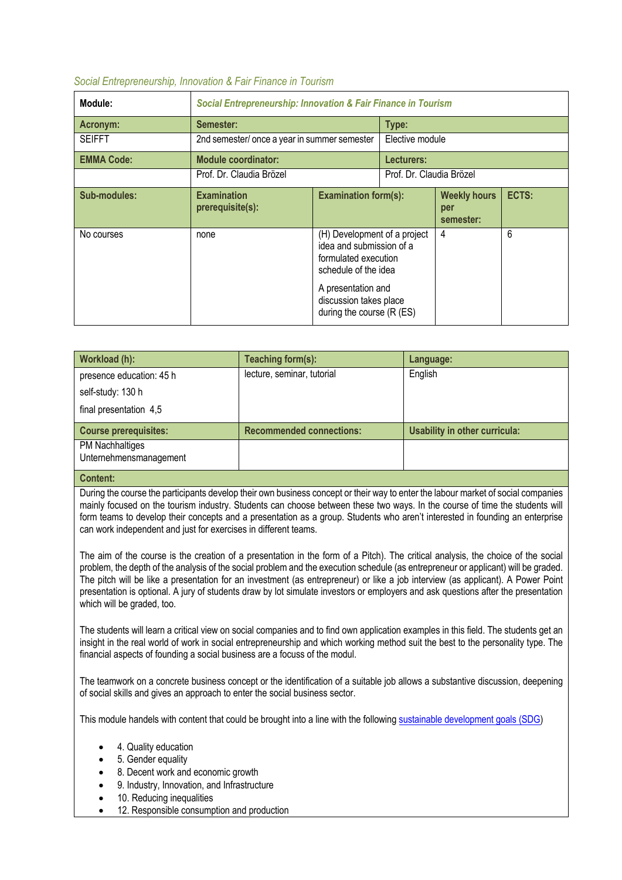## *Social Entrepreneurship, Innovation & Fair Finance in Tourism*

| Module:           | <b>Social Entrepreneurship: Innovation &amp; Fair Finance in Tourism</b> |                                                                                                                                                                                       |                 |                                         |       |  |
|-------------------|--------------------------------------------------------------------------|---------------------------------------------------------------------------------------------------------------------------------------------------------------------------------------|-----------------|-----------------------------------------|-------|--|
| Acronym:          | Semester:                                                                |                                                                                                                                                                                       | Type:           |                                         |       |  |
| <b>SEIFFT</b>     | 2nd semester/ once a year in summer semester                             |                                                                                                                                                                                       | Elective module |                                         |       |  |
| <b>EMMA Code:</b> | <b>Module coordinator:</b>                                               |                                                                                                                                                                                       | Lecturers:      |                                         |       |  |
|                   | Prof. Dr. Claudia Brözel                                                 | Prof. Dr. Claudia Brözel                                                                                                                                                              |                 |                                         |       |  |
| Sub-modules:      | <b>Examination</b><br>prerequisite(s):                                   | <b>Examination form(s):</b>                                                                                                                                                           |                 | <b>Weekly hours</b><br>per<br>semester: | ECTS: |  |
| No courses        | none                                                                     | (H) Development of a project<br>idea and submission of a<br>formulated execution<br>schedule of the idea<br>A presentation and<br>discussion takes place<br>during the course (R (ES) |                 | 4                                       | 6     |  |
|                   |                                                                          |                                                                                                                                                                                       |                 |                                         |       |  |

| Workload (h):                             | Teaching form(s):               | Language:                     |
|-------------------------------------------|---------------------------------|-------------------------------|
| presence education: 45 h                  | lecture, seminar, tutorial      | English                       |
| self-study: 130 h                         |                                 |                               |
| final presentation 4,5                    |                                 |                               |
| <b>Course prerequisites:</b>              | <b>Recommended connections:</b> | Usability in other curricula: |
| PM Nachhaltiges<br>Unternehmensmanagement |                                 |                               |
| $\mathbf{A}$ and $\mathbf{A}$             |                                 |                               |

## **Content:**

During the course the participants develop their own business concept or their way to enter the labour market of social companies mainly focused on the tourism industry. Students can choose between these two ways. In the course of time the students will form teams to develop their concepts and a presentation as a group. Students who aren't interested in founding an enterprise can work independent and just for exercises in different teams.

The aim of the course is the creation of a presentation in the form of a Pitch). The critical analysis, the choice of the social problem, the depth of the analysis of the social problem and the execution schedule (as entrepreneur or applicant) will be graded. The pitch will be like a presentation for an investment (as entrepreneur) or like a job interview (as applicant). A Power Point presentation is optional. A jury of students draw by lot simulate investors or employers and ask questions after the presentation which will be graded, too.

The students will learn a critical view on social companies and to find own application examples in this field. The students get an insight in the real world of work in social entrepreneurship and which working method suit the best to the personality type. The financial aspects of founding a social business are a focuss of the modul.

The teamwork on a concrete business concept or the identification of a suitable job allows a substantive discussion, deepening of social skills and gives an approach to enter the social business sector.

This module handels with content that could be brought into a line with the following sustainable development goals (SDG)

- 4. Quality education
- 5. Gender equality
- 8. Decent work and economic growth
- 9. Industry, Innovation, and Infrastructure
- 10. Reducing inequalities
- 12. Responsible consumption and production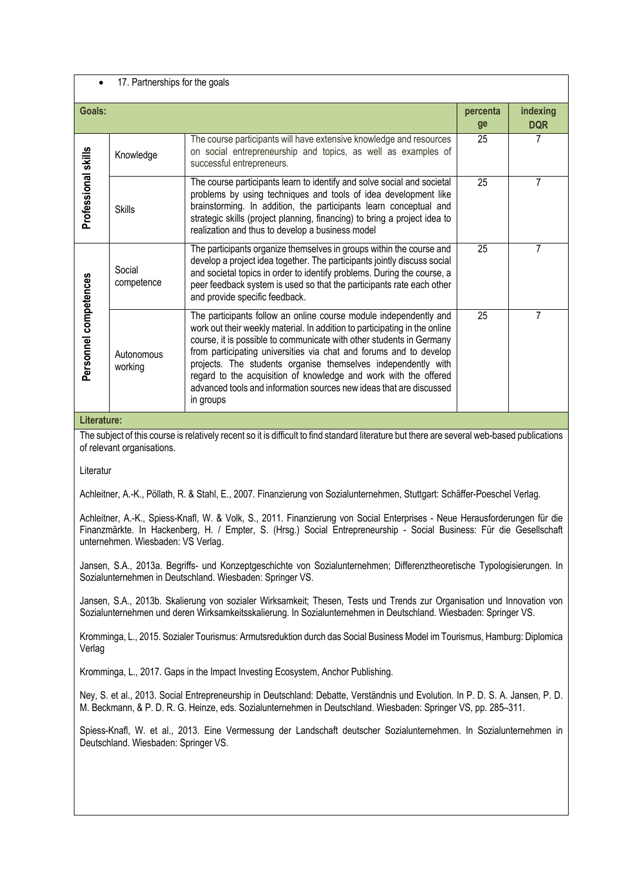| 17. Partnerships for the goals |                       |                                                                                                                                                                                                                                                                                                                                                                                                                                                                                                                        |                |                        |  |  |  |
|--------------------------------|-----------------------|------------------------------------------------------------------------------------------------------------------------------------------------------------------------------------------------------------------------------------------------------------------------------------------------------------------------------------------------------------------------------------------------------------------------------------------------------------------------------------------------------------------------|----------------|------------------------|--|--|--|
| Goals:                         |                       |                                                                                                                                                                                                                                                                                                                                                                                                                                                                                                                        | percenta<br>ge | indexing<br><b>DQR</b> |  |  |  |
| Professional skills            | Knowledge             | The course participants will have extensive knowledge and resources<br>on social entrepreneurship and topics, as well as examples of<br>successful entrepreneurs.                                                                                                                                                                                                                                                                                                                                                      | 25             | 7                      |  |  |  |
|                                | <b>Skills</b>         | The course participants learn to identify and solve social and societal<br>problems by using techniques and tools of idea development like<br>brainstorming. In addition, the participants learn conceptual and<br>strategic skills (project planning, financing) to bring a project idea to<br>realization and thus to develop a business model                                                                                                                                                                       | 25             | 7                      |  |  |  |
| Personnel competences          | Social<br>competence  | The participants organize themselves in groups within the course and<br>develop a project idea together. The participants jointly discuss social<br>and societal topics in order to identify problems. During the course, a<br>peer feedback system is used so that the participants rate each other<br>and provide specific feedback.                                                                                                                                                                                 | 25             | 7                      |  |  |  |
|                                | Autonomous<br>working | The participants follow an online course module independently and<br>work out their weekly material. In addition to participating in the online<br>course, it is possible to communicate with other students in Germany<br>from participating universities via chat and forums and to develop<br>projects. The students organise themselves independently with<br>regard to the acquisition of knowledge and work with the offered<br>advanced tools and information sources new ideas that are discussed<br>in groups | 25             | 7                      |  |  |  |

**Literature:**

The subject of this course is relatively recent so it is difficult to find standard literature but there are several web-based publications of relevant organisations.

Literatur

Achleitner, A.-K., Pöllath, R. & Stahl, E., 2007. Finanzierung von Sozialunternehmen, Stuttgart: Schäffer-Poeschel Verlag.

Achleitner, A.-K., Spiess-Knafl, W. & Volk, S., 2011. Finanzierung von Social Enterprises - Neue Herausforderungen für die Finanzmärkte. In Hackenberg, H. / Empter, S. (Hrsg.) Social Entrepreneurship - Social Business: Für die Gesellschaft unternehmen. Wiesbaden: VS Verlag.

Jansen, S.A., 2013a. Begriffs- und Konzeptgeschichte von Sozialunternehmen; Differenztheoretische Typologisierungen. In Sozialunternehmen in Deutschland. Wiesbaden: Springer VS.

Jansen, S.A., 2013b. Skalierung von sozialer Wirksamkeit; Thesen, Tests und Trends zur Organisation und Innovation von Sozialunternehmen und deren Wirksamkeitsskalierung. In Sozialunternehmen in Deutschland. Wiesbaden: Springer VS.

Kromminga, L., 2015. Sozialer Tourismus: Armutsreduktion durch das Social Business Model im Tourismus, Hamburg: Diplomica Verlag

Kromminga, L., 2017. Gaps in the Impact Investing Ecosystem, Anchor Publishing.

Ney, S. et al., 2013. Social Entrepreneurship in Deutschland: Debatte, Verständnis und Evolution. In P. D. S. A. Jansen, P. D. M. Beckmann, & P. D. R. G. Heinze, eds. Sozialunternehmen in Deutschland. Wiesbaden: Springer VS, pp. 285–311.

Spiess-Knafl, W. et al., 2013. Eine Vermessung der Landschaft deutscher Sozialunternehmen. In Sozialunternehmen in Deutschland. Wiesbaden: Springer VS.